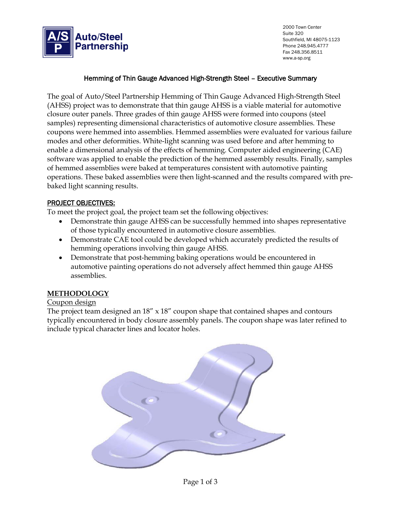

2000 Town Center Suite 320 Southfield, MI 48075-1123 Phone 248.945.4777 Fax 248.356.8511 www.a-sp.org

## Hemming of Thin Gauge Advanced High-Strength Steel – Executive Summary

The goal of Auto/Steel Partnership Hemming of Thin Gauge Advanced High-Strength Steel (AHSS) project was to demonstrate that thin gauge AHSS is a viable material for automotive closure outer panels. Three grades of thin gauge AHSS were formed into coupons (steel samples) representing dimensional characteristics of automotive closure assemblies. These coupons were hemmed into assemblies. Hemmed assemblies were evaluated for various failure modes and other deformities. White-light scanning was used before and after hemming to enable a dimensional analysis of the effects of hemming. Computer aided engineering (CAE) software was applied to enable the prediction of the hemmed assembly results. Finally, samples of hemmed assemblies were baked at temperatures consistent with automotive painting operations. These baked assemblies were then light-scanned and the results compared with prebaked light scanning results.

#### PROJECT OBJECTIVES:

To meet the project goal, the project team set the following objectives:

- Demonstrate thin gauge AHSS can be successfully hemmed into shapes representative of those typically encountered in automotive closure assemblies.
- Demonstrate CAE tool could be developed which accurately predicted the results of hemming operations involving thin gauge AHSS.
- Demonstrate that post-hemming baking operations would be encountered in automotive painting operations do not adversely affect hemmed thin gauge AHSS assemblies.

### **METHODOLOGY**

#### Coupon design

The project team designed an 18" x 18" coupon shape that contained shapes and contours typically encountered in body closure assembly panels. The coupon shape was later refined to include typical character lines and locator holes.



Page 1 of 3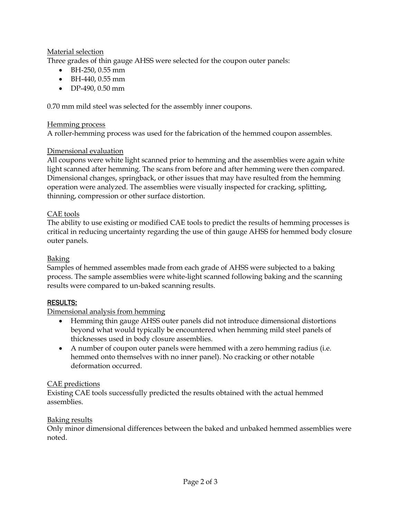# Material selection

Three grades of thin gauge AHSS were selected for the coupon outer panels:

- BH-250, 0.55 mm
- BH-440, 0.55 mm
- DP-490, 0.50 mm

0.70 mm mild steel was selected for the assembly inner coupons.

## Hemming process

A roller-hemming process was used for the fabrication of the hemmed coupon assembles.

# Dimensional evaluation

All coupons were white light scanned prior to hemming and the assemblies were again white light scanned after hemming. The scans from before and after hemming were then compared. Dimensional changes, springback, or other issues that may have resulted from the hemming operation were analyzed. The assemblies were visually inspected for cracking, splitting, thinning, compression or other surface distortion.

## CAE tools

The ability to use existing or modified CAE tools to predict the results of hemming processes is critical in reducing uncertainty regarding the use of thin gauge AHSS for hemmed body closure outer panels.

## Baking

Samples of hemmed assembles made from each grade of AHSS were subjected to a baking process. The sample assemblies were white-light scanned following baking and the scanning results were compared to un-baked scanning results.

### RESULTS:

# Dimensional analysis from hemming

- Hemming thin gauge AHSS outer panels did not introduce dimensional distortions beyond what would typically be encountered when hemming mild steel panels of thicknesses used in body closure assemblies.
- A number of coupon outer panels were hemmed with a zero hemming radius (i.e. hemmed onto themselves with no inner panel). No cracking or other notable deformation occurred.

# CAE predictions

Existing CAE tools successfully predicted the results obtained with the actual hemmed assemblies.

### Baking results

Only minor dimensional differences between the baked and unbaked hemmed assemblies were noted.